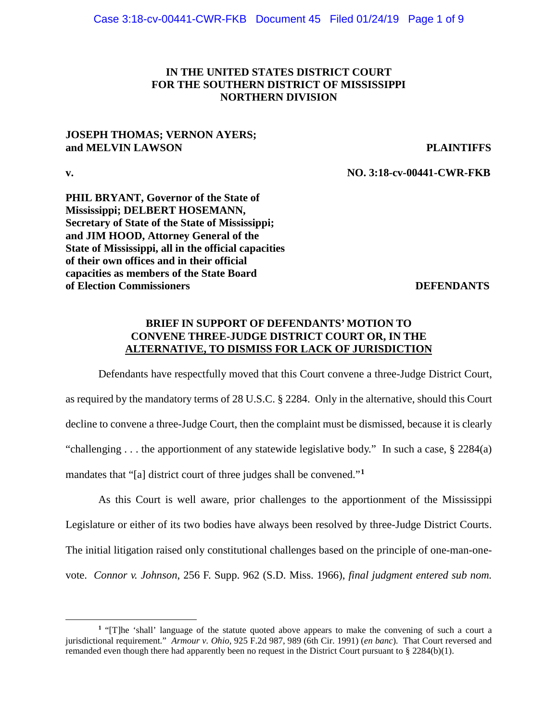# **IN THE UNITED STATES DISTRICT COURT FOR THE SOUTHERN DISTRICT OF MISSISSIPPI NORTHERN DIVISION**

## **JOSEPH THOMAS; VERNON AYERS; and MELVIN LAWSON PLAINTIFFS**

 $\overline{a}$ 

**v. NO. 3:18-cv-00441-CWR-FKB**

**PHIL BRYANT, Governor of the State of Mississippi; DELBERT HOSEMANN, Secretary of State of the State of Mississippi; and JIM HOOD, Attorney General of the State of Mississippi, all in the official capacities of their own offices and in their official capacities as members of the State Board of Election Commissioners DEFENDANTS** 

# **BRIEF IN SUPPORT OF DEFENDANTS' MOTION TO CONVENE THREE-JUDGE DISTRICT COURT OR, IN THE ALTERNATIVE, TO DISMISS FOR LACK OF JURISDICTION**

Defendants have respectfully moved that this Court convene a three-Judge District Court, as required by the mandatory terms of 28 U.S.C. § 2284. Only in the alternative, should this Court decline to convene a three-Judge Court, then the complaint must be dismissed, because it is clearly "challenging  $\dots$  the apportionment of any statewide legislative body." In such a case, § 2284(a) mandates that "[a] district court of three judges shall be convened."**[1](#page-0-0)**

As this Court is well aware, prior challenges to the apportionment of the Mississippi Legislature or either of its two bodies have always been resolved by three-Judge District Courts. The initial litigation raised only constitutional challenges based on the principle of one-man-onevote. *Connor v. Johnson*, 256 F. Supp. 962 (S.D. Miss. 1966), *final judgment entered sub nom.*

<span id="page-0-0"></span>**<sup>1</sup>** "[T]he 'shall' language of the statute quoted above appears to make the convening of such a court a jurisdictional requirement." *Armour v. Ohio*, 925 F.2d 987, 989 (6th Cir. 1991) (*en banc*). That Court reversed and remanded even though there had apparently been no request in the District Court pursuant to § 2284(b)(1).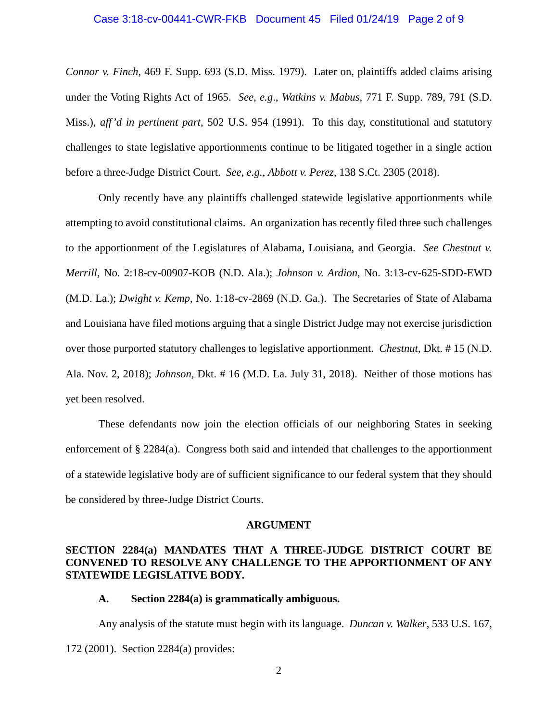### Case 3:18-cv-00441-CWR-FKB Document 45 Filed 01/24/19 Page 2 of 9

*Connor v. Finch*, 469 F. Supp. 693 (S.D. Miss. 1979). Later on, plaintiffs added claims arising under the Voting Rights Act of 1965. *See*, *e.g*., *Watkins v. Mabus*, 771 F. Supp. 789, 791 (S.D. Miss.), *aff'd in pertinent part*, 502 U.S. 954 (1991). To this day, constitutional and statutory challenges to state legislative apportionments continue to be litigated together in a single action before a three-Judge District Court. *See*, *e.g.*, *Abbott v. Perez*, 138 S.Ct. 2305 (2018).

Only recently have any plaintiffs challenged statewide legislative apportionments while attempting to avoid constitutional claims. An organization has recently filed three such challenges to the apportionment of the Legislatures of Alabama, Louisiana, and Georgia. *See Chestnut v. Merrill*, No. 2:18-cv-00907-KOB (N.D. Ala.); *Johnson v. Ardion*, No. 3:13-cv-625-SDD-EWD (M.D. La.); *Dwight v. Kemp*, No. 1:18-cv-2869 (N.D. Ga.). The Secretaries of State of Alabama and Louisiana have filed motions arguing that a single District Judge may not exercise jurisdiction over those purported statutory challenges to legislative apportionment. *Chestnut*, Dkt. # 15 (N.D. Ala. Nov. 2, 2018); *Johnson*, Dkt. # 16 (M.D. La. July 31, 2018). Neither of those motions has yet been resolved.

These defendants now join the election officials of our neighboring States in seeking enforcement of § 2284(a). Congress both said and intended that challenges to the apportionment of a statewide legislative body are of sufficient significance to our federal system that they should be considered by three-Judge District Courts.

#### **ARGUMENT**

# **SECTION 2284(a) MANDATES THAT A THREE-JUDGE DISTRICT COURT BE CONVENED TO RESOLVE ANY CHALLENGE TO THE APPORTIONMENT OF ANY STATEWIDE LEGISLATIVE BODY.**

#### **A. Section 2284(a) is grammatically ambiguous.**

Any analysis of the statute must begin with its language. *Duncan v. Walker*, 533 U.S. 167, 172 (2001). Section 2284(a) provides: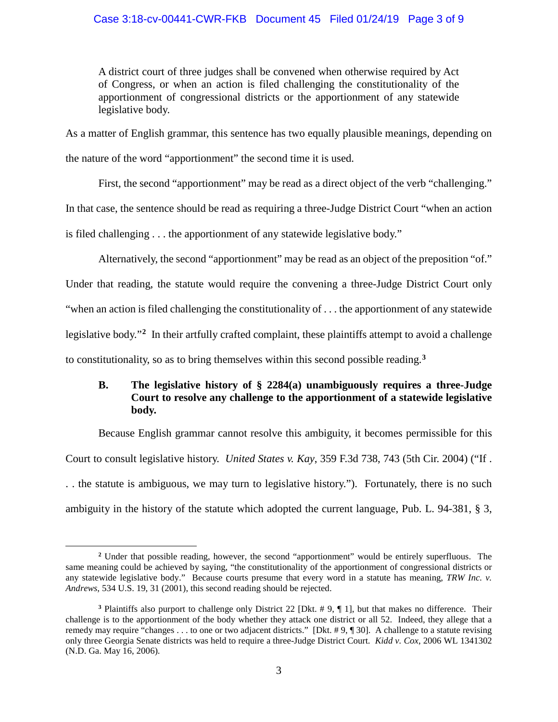## Case 3:18-cv-00441-CWR-FKB Document 45 Filed 01/24/19 Page 3 of 9

A district court of three judges shall be convened when otherwise required by Act of Congress, or when an action is filed challenging the constitutionality of the apportionment of congressional districts or the apportionment of any statewide legislative body.

As a matter of English grammar, this sentence has two equally plausible meanings, depending on the nature of the word "apportionment" the second time it is used.

First, the second "apportionment" may be read as a direct object of the verb "challenging." In that case, the sentence should be read as requiring a three-Judge District Court "when an action is filed challenging . . . the apportionment of any statewide legislative body."

Alternatively, the second "apportionment" may be read as an object of the preposition "of." Under that reading, the statute would require the convening a three-Judge District Court only "when an action is filed challenging the constitutionality of . . . the apportionment of any statewide legislative body."**[2](#page-2-0)** In their artfully crafted complaint, these plaintiffs attempt to avoid a challenge to constitutionality, so as to bring themselves within this second possible reading.**[3](#page-2-1)**

# **B. The legislative history of § 2284(a) unambiguously requires a three-Judge Court to resolve any challenge to the apportionment of a statewide legislative body.**

Because English grammar cannot resolve this ambiguity, it becomes permissible for this Court to consult legislative history. *United States v. Kay*, 359 F.3d 738, 743 (5th Cir. 2004) ("If . . . the statute is ambiguous, we may turn to legislative history."). Fortunately, there is no such ambiguity in the history of the statute which adopted the current language, Pub. L. 94-381, § 3,

<span id="page-2-0"></span>**<sup>2</sup>** Under that possible reading, however, the second "apportionment" would be entirely superfluous. The same meaning could be achieved by saying, "the constitutionality of the apportionment of congressional districts or any statewide legislative body." Because courts presume that every word in a statute has meaning, *TRW Inc. v. Andrews*, 534 U.S. 19, 31 (2001), this second reading should be rejected.

<span id="page-2-1"></span>**<sup>3</sup>** Plaintiffs also purport to challenge only District 22 [Dkt. # 9, ¶ 1], but that makes no difference. Their challenge is to the apportionment of the body whether they attack one district or all 52. Indeed, they allege that a remedy may require "changes . . . to one or two adjacent districts." [Dkt. # 9, ¶ 30]. A challenge to a statute revising only three Georgia Senate districts was held to require a three-Judge District Court. *Kidd v. Cox*, 2006 WL 1341302 (N.D. Ga. May 16, 2006).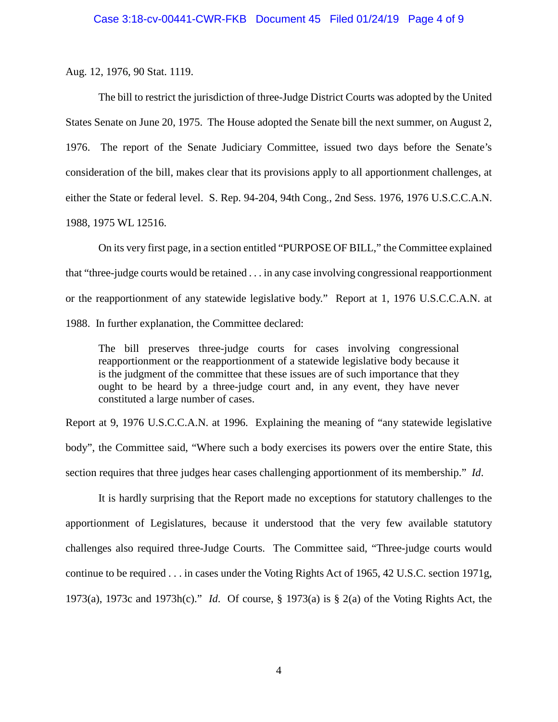Aug. 12, 1976, 90 Stat. 1119.

The bill to restrict the jurisdiction of three-Judge District Courts was adopted by the United States Senate on June 20, 1975. The House adopted the Senate bill the next summer, on August 2, 1976. The report of the Senate Judiciary Committee, issued two days before the Senate's consideration of the bill, makes clear that its provisions apply to all apportionment challenges, at either the State or federal level. S. Rep. 94-204, 94th Cong., 2nd Sess. 1976, 1976 U.S.C.C.A.N. 1988, 1975 WL 12516.

On its very first page, in a section entitled "PURPOSE OF BILL," the Committee explained that "three-judge courts would be retained . . . in any case involving congressional reapportionment or the reapportionment of any statewide legislative body." Report at 1, 1976 U.S.C.C.A.N. at 1988. In further explanation, the Committee declared:

The bill preserves three-judge courts for cases involving congressional reapportionment or the reapportionment of a statewide legislative body because it is the judgment of the committee that these issues are of such importance that they ought to be heard by a three-judge court and, in any event, they have never constituted a large number of cases.

Report at 9, 1976 U.S.C.C.A.N. at 1996. Explaining the meaning of "any statewide legislative body", the Committee said, "Where such a body exercises its powers over the entire State, this section requires that three judges hear cases challenging apportionment of its membership." *Id*.

It is hardly surprising that the Report made no exceptions for statutory challenges to the apportionment of Legislatures, because it understood that the very few available statutory challenges also required three-Judge Courts. The Committee said, "Three-judge courts would continue to be required . . . in cases under the Voting Rights Act of 1965, 42 U.S.C. section 1971g, 1973(a), 1973c and 1973h(c)." *Id*. Of course, § 1973(a) is § 2(a) of the Voting Rights Act, the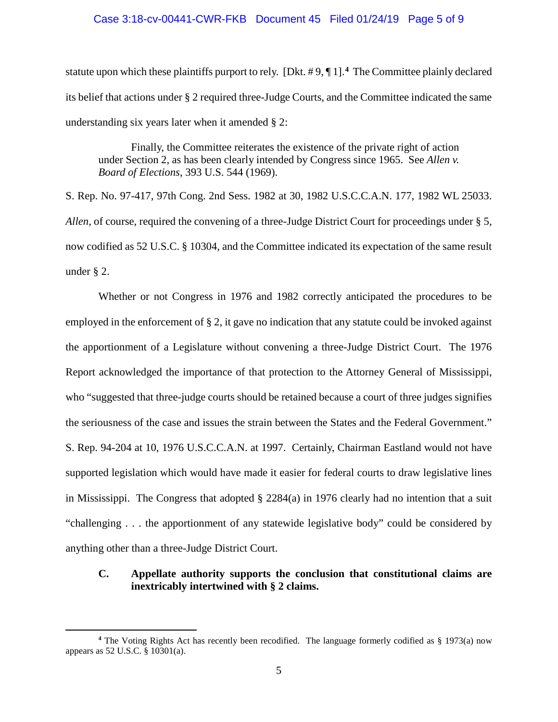### Case 3:18-cv-00441-CWR-FKB Document 45 Filed 01/24/19 Page 5 of 9

statute upon which these plaintiffs purport to rely. [Dkt. # 9, ¶ 1].**[4](#page-4-0)** The Committee plainly declared its belief that actions under § 2 required three-Judge Courts, and the Committee indicated the same understanding six years later when it amended § 2:

Finally, the Committee reiterates the existence of the private right of action under Section 2, as has been clearly intended by Congress since 1965. See *Allen v. Board of Elections*, 393 U.S. 544 (1969).

S. Rep. No. 97-417, 97th Cong. 2nd Sess. 1982 at 30, 1982 U.S.C.C.A.N. 177, 1982 WL 25033. *Allen*, of course, required the convening of a three-Judge District Court for proceedings under § 5, now codified as 52 U.S.C. § 10304, and the Committee indicated its expectation of the same result under § 2.

Whether or not Congress in 1976 and 1982 correctly anticipated the procedures to be employed in the enforcement of  $\S 2$ , it gave no indication that any statute could be invoked against the apportionment of a Legislature without convening a three-Judge District Court. The 1976 Report acknowledged the importance of that protection to the Attorney General of Mississippi, who "suggested that three-judge courts should be retained because a court of three judges signifies the seriousness of the case and issues the strain between the States and the Federal Government." S. Rep. 94-204 at 10, 1976 U.S.C.C.A.N. at 1997. Certainly, Chairman Eastland would not have supported legislation which would have made it easier for federal courts to draw legislative lines in Mississippi. The Congress that adopted § 2284(a) in 1976 clearly had no intention that a suit "challenging . . . the apportionment of any statewide legislative body" could be considered by anything other than a three-Judge District Court.

# **C. Appellate authority supports the conclusion that constitutional claims are inextricably intertwined with § 2 claims.**

<span id="page-4-0"></span>**<sup>4</sup>** The Voting Rights Act has recently been recodified. The language formerly codified as § 1973(a) now appears as 52 U.S.C. § 10301(a).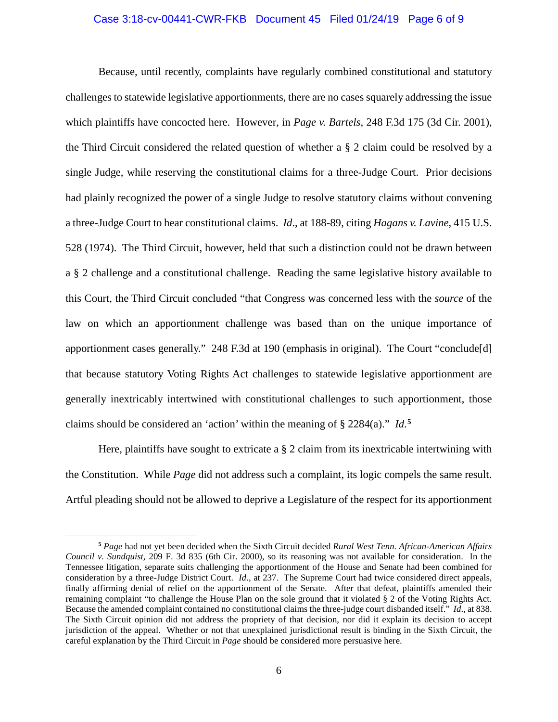#### Case 3:18-cv-00441-CWR-FKB Document 45 Filed 01/24/19 Page 6 of 9

Because, until recently, complaints have regularly combined constitutional and statutory challenges to statewide legislative apportionments, there are no cases squarely addressing the issue which plaintiffs have concocted here. However, in *Page v. Bartels*, 248 F.3d 175 (3d Cir. 2001), the Third Circuit considered the related question of whether a § 2 claim could be resolved by a single Judge, while reserving the constitutional claims for a three-Judge Court. Prior decisions had plainly recognized the power of a single Judge to resolve statutory claims without convening a three-Judge Court to hear constitutional claims. *Id*., at 188-89, citing *Hagans v. Lavine*, 415 U.S. 528 (1974). The Third Circuit, however, held that such a distinction could not be drawn between a § 2 challenge and a constitutional challenge. Reading the same legislative history available to this Court, the Third Circuit concluded "that Congress was concerned less with the *source* of the law on which an apportionment challenge was based than on the unique importance of apportionment cases generally." 248 F.3d at 190 (emphasis in original). The Court "conclude[d] that because statutory Voting Rights Act challenges to statewide legislative apportionment are generally inextricably intertwined with constitutional challenges to such apportionment, those claims should be considered an 'action' within the meaning of § 2284(a)." *Id*. **[5](#page-5-0)**

Here, plaintiffs have sought to extricate a § 2 claim from its inextricable intertwining with the Constitution. While *Page* did not address such a complaint, its logic compels the same result. Artful pleading should not be allowed to deprive a Legislature of the respect for its apportionment

<span id="page-5-0"></span>**<sup>5</sup>** *Page* had not yet been decided when the Sixth Circuit decided *Rural West Tenn. African-American Affairs Council v. Sundquist*, 209 F. 3d 835 (6th Cir. 2000), so its reasoning was not available for consideration. In the Tennessee litigation, separate suits challenging the apportionment of the House and Senate had been combined for consideration by a three-Judge District Court. *Id*., at 237. The Supreme Court had twice considered direct appeals, finally affirming denial of relief on the apportionment of the Senate. After that defeat, plaintiffs amended their remaining complaint "to challenge the House Plan on the sole ground that it violated § 2 of the Voting Rights Act. Because the amended complaint contained no constitutional claims the three-judge court disbanded itself." *Id*., at 838. The Sixth Circuit opinion did not address the propriety of that decision, nor did it explain its decision to accept jurisdiction of the appeal. Whether or not that unexplained jurisdictional result is binding in the Sixth Circuit, the careful explanation by the Third Circuit in *Page* should be considered more persuasive here.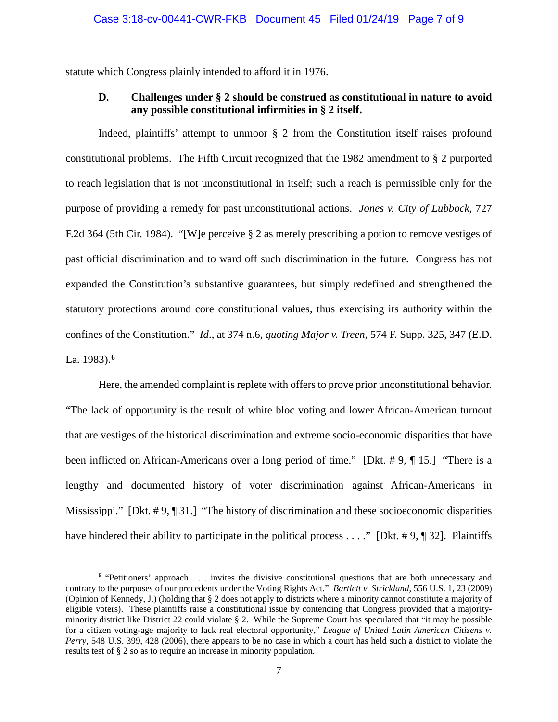statute which Congress plainly intended to afford it in 1976.

# **D. Challenges under § 2 should be construed as constitutional in nature to avoid any possible constitutional infirmities in § 2 itself.**

Indeed, plaintiffs' attempt to unmoor § 2 from the Constitution itself raises profound constitutional problems. The Fifth Circuit recognized that the 1982 amendment to § 2 purported to reach legislation that is not unconstitutional in itself; such a reach is permissible only for the purpose of providing a remedy for past unconstitutional actions. *Jones v. City of Lubbock*, 727 F.2d 364 (5th Cir. 1984). "[W]e perceive § 2 as merely prescribing a potion to remove vestiges of past official discrimination and to ward off such discrimination in the future. Congress has not expanded the Constitution's substantive guarantees, but simply redefined and strengthened the statutory protections around core constitutional values, thus exercising its authority within the confines of the Constitution." *Id*., at 374 n.6, *quoting Major v. Treen*, 574 F. Supp. 325, 347 (E.D. La. 1983).**[6](#page-6-0)**

Here, the amended complaint is replete with offers to prove prior unconstitutional behavior. "The lack of opportunity is the result of white bloc voting and lower African-American turnout that are vestiges of the historical discrimination and extreme socio-economic disparities that have been inflicted on African-Americans over a long period of time." [Dkt. # 9, ¶ 15.] "There is a lengthy and documented history of voter discrimination against African-Americans in Mississippi." [Dkt. #9, 1].] "The history of discrimination and these socioeconomic disparities have hindered their ability to participate in the political process . . . ." [Dkt. #9, ¶ 32]. Plaintiffs

<span id="page-6-0"></span>**<sup>6</sup>** "Petitioners' approach . . . invites the divisive constitutional questions that are both unnecessary and contrary to the purposes of our precedents under the Voting Rights Act." *Bartlett v. Strickland*, 556 U.S. 1, 23 (2009) (Opinion of Kennedy, J.) (holding that § 2 does not apply to districts where a minority cannot constitute a majority of eligible voters). These plaintiffs raise a constitutional issue by contending that Congress provided that a majorityminority district like District 22 could violate § 2. While the Supreme Court has speculated that "it may be possible for a citizen voting-age majority to lack real electoral opportunity," *League of United Latin American Citizens v. Perry*, 548 U.S. 399, 428 (2006), there appears to be no case in which a court has held such a district to violate the results test of § 2 so as to require an increase in minority population.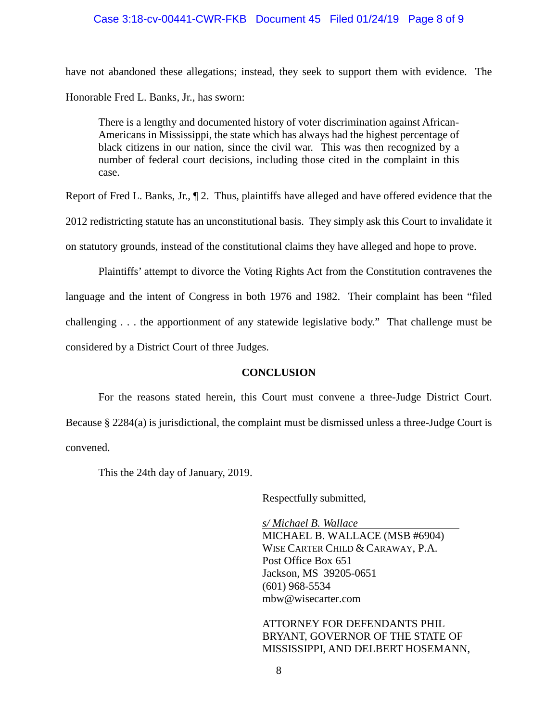# Case 3:18-cv-00441-CWR-FKB Document 45 Filed 01/24/19 Page 8 of 9

have not abandoned these allegations; instead, they seek to support them with evidence. The Honorable Fred L. Banks, Jr., has sworn:

There is a lengthy and documented history of voter discrimination against African-Americans in Mississippi, the state which has always had the highest percentage of black citizens in our nation, since the civil war. This was then recognized by a number of federal court decisions, including those cited in the complaint in this case.

Report of Fred L. Banks, Jr.,  $\P$  2. Thus, plaintiffs have alleged and have offered evidence that the

2012 redistricting statute has an unconstitutional basis. They simply ask this Court to invalidate it

on statutory grounds, instead of the constitutional claims they have alleged and hope to prove.

Plaintiffs' attempt to divorce the Voting Rights Act from the Constitution contravenes the language and the intent of Congress in both 1976 and 1982. Their complaint has been "filed challenging . . . the apportionment of any statewide legislative body." That challenge must be considered by a District Court of three Judges.

## **CONCLUSION**

For the reasons stated herein, this Court must convene a three-Judge District Court. Because § 2284(a) is jurisdictional, the complaint must be dismissed unless a three-Judge Court is convened.

This the 24th day of January, 2019.

Respectfully submitted,

*s/ Michael B. Wallace* MICHAEL B. WALLACE (MSB #6904) WISE CARTER CHILD & CARAWAY, P.A. Post Office Box 651 Jackson, MS 39205-0651 (601) 968-5534 [mbw@wisecarter.com](mailto:mbw@wisecarter.com)

ATTORNEY FOR DEFENDANTS PHIL BRYANT, GOVERNOR OF THE STATE OF MISSISSIPPI, AND DELBERT HOSEMANN,